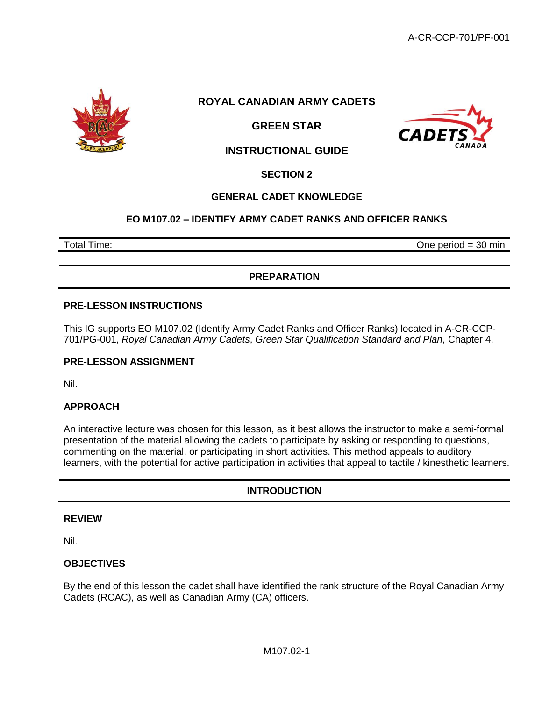

### **ROYAL CANADIAN ARMY CADETS**

**GREEN STAR**



### **INSTRUCTIONAL GUIDE**

**SECTION 2**

### **GENERAL CADET KNOWLEDGE**

### **EO M107.02 – IDENTIFY ARMY CADET RANKS AND OFFICER RANKS**

Total Time:  $\blacksquare$  One period = 30 min

### **PREPARATION**

### **PRE-LESSON INSTRUCTIONS**

This IG supports EO M107.02 (Identify Army Cadet Ranks and Officer Ranks) located in A-CR-CCP-701/PG-001, *Royal Canadian Army Cadets*, *Green Star Qualification Standard and Plan*, Chapter 4.

### **PRE-LESSON ASSIGNMENT**

Nil.

### **APPROACH**

An interactive lecture was chosen for this lesson, as it best allows the instructor to make a semi-formal presentation of the material allowing the cadets to participate by asking or responding to questions, commenting on the material, or participating in short activities. This method appeals to auditory learners, with the potential for active participation in activities that appeal to tactile / kinesthetic learners.

### **INTRODUCTION**

### **REVIEW**

Nil.

### **OBJECTIVES**

By the end of this lesson the cadet shall have identified the rank structure of the Royal Canadian Army Cadets (RCAC), as well as Canadian Army (CA) officers.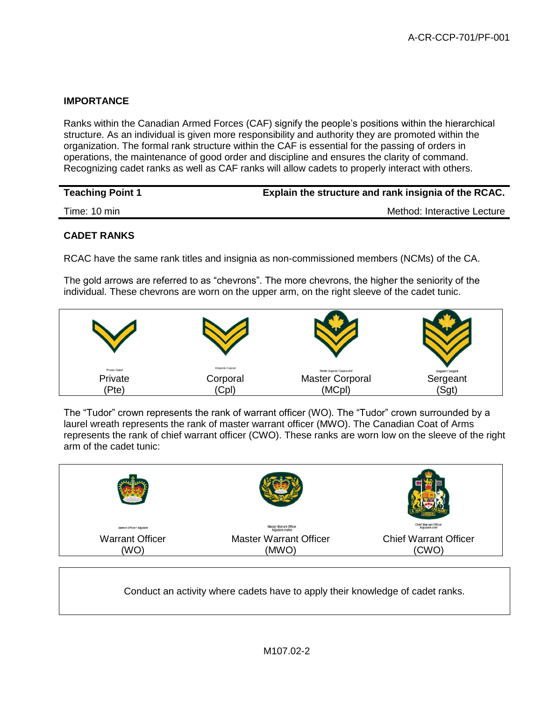### **IMPORTANCE**

Ranks within the Canadian Armed Forces (CAF) signify the people's positions within the hierarchical structure. As an individual is given more responsibility and authority they are promoted within the organization. The formal rank structure within the CAF is essential for the passing of orders in operations, the maintenance of good order and discipline and ensures the clarity of command. Recognizing cadet ranks as well as CAF ranks will allow cadets to properly interact with others.

### **Teaching Point 1 Explain the structure and rank insignia of the RCAC.**

Time: 10 min Method: Interactive Lecture Communication of the Method: Interactive Lecture

### **CADET RANKS**

RCAC have the same rank titles and insignia as non-commissioned members (NCMs) of the CA.

The gold arrows are referred to as "chevrons". The more chevrons, the higher the seniority of the individual. These chevrons are worn on the upper arm, on the right sleeve of the cadet tunic.



The "Tudor" crown represents the rank of warrant officer (WO). The "Tudor" crown surrounded by a laurel wreath represents the rank of master warrant officer (MWO). The Canadian Coat of Arms represents the rank of chief warrant officer (CWO). These ranks are worn low on the sleeve of the right arm of the cadet tunic:

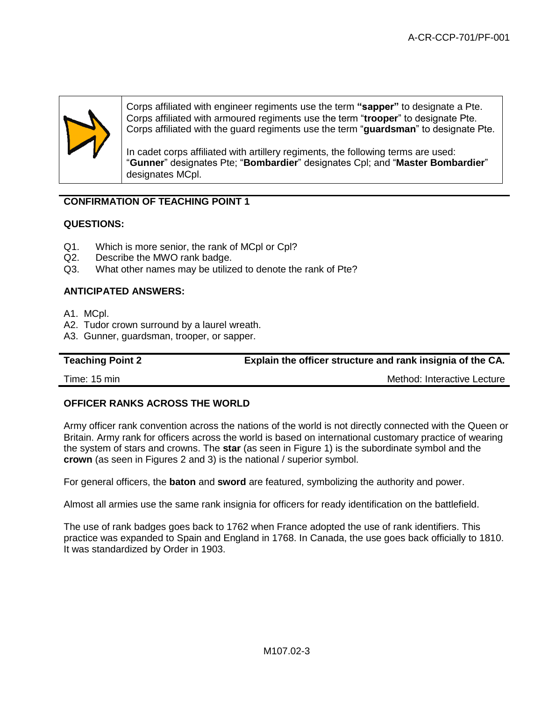

Corps affiliated with engineer regiments use the term **"sapper"** to designate a Pte. Corps affiliated with armoured regiments use the term "**trooper**" to designate Pte. Corps affiliated with the guard regiments use the term "**guardsman**" to designate Pte.

In cadet corps affiliated with artillery regiments, the following terms are used: "**Gunner**" designates Pte; "**Bombardier**" designates Cpl; and "**Master Bombardier**" designates MCpl.

### **CONFIRMATION OF TEACHING POINT 1**

### **QUESTIONS:**

- Q1. Which is more senior, the rank of MCpl or Cpl?
- Q2. Describe the MWO rank badge.
- Q3. What other names may be utilized to denote the rank of Pte?

### **ANTICIPATED ANSWERS:**

- A1. MCpl.
- A2. Tudor crown surround by a laurel wreath.
- A3. Gunner, guardsman, trooper, or sapper.

**Teaching Point 2 Explain the officer structure and rank insignia of the CA.**

Time: 15 min Method: Interactive Lecture

### **OFFICER RANKS ACROSS THE WORLD**

Army officer rank convention across the nations of the world is not directly connected with the Queen or Britain. Army rank for officers across the world is based on international customary practice of wearing the system of stars and crowns. The **star** (as seen in Figure 1) is the subordinate symbol and the **crown** (as seen in Figures 2 and 3) is the national / superior symbol.

For general officers, the **baton** and **sword** are featured, symbolizing the authority and power.

Almost all armies use the same rank insignia for officers for ready identification on the battlefield.

The use of rank badges goes back to 1762 when France adopted the use of rank identifiers. This practice was expanded to Spain and England in 1768. In Canada, the use goes back officially to 1810. It was standardized by Order in 1903.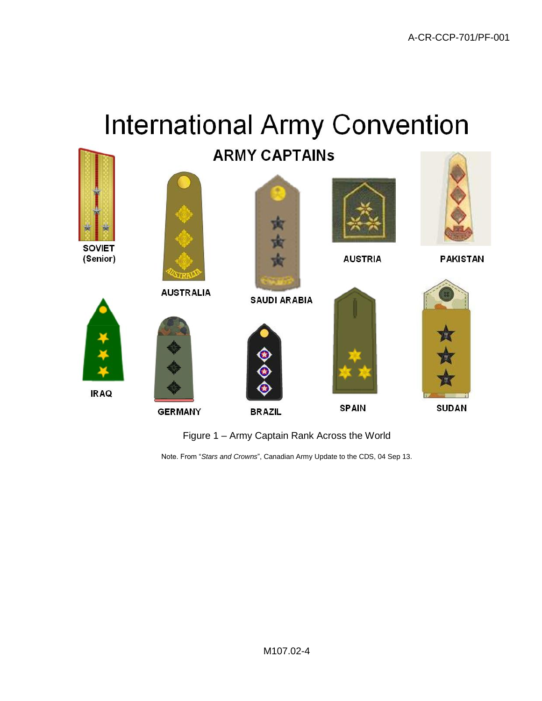# **International Army Convention**



Figure 1 – Army Captain Rank Across the World

Note. From "*Stars and Crowns*", Canadian Army Update to the CDS, 04 Sep 13.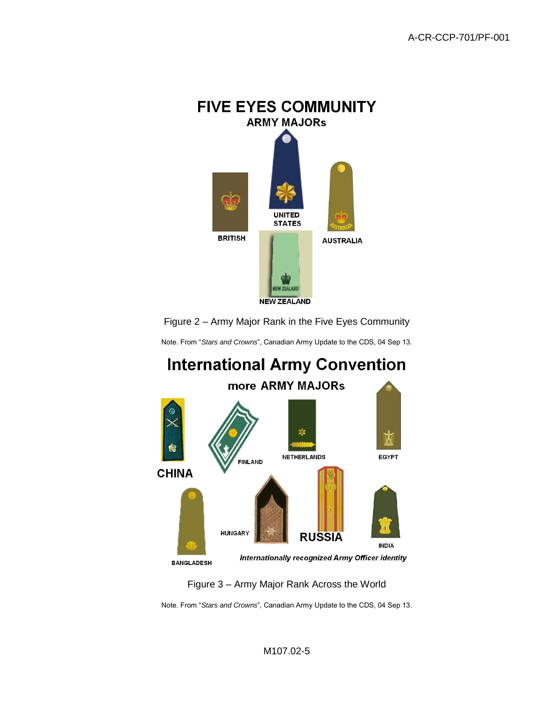## **FIVE EYES COMMUNITY ARMY MAJORs**



### Figure 2 – Army Major Rank in the Five Eyes Community

Note. From "*Stars and Crowns*", Canadian Army Update to the CDS, 04 Sep 13.

## **International Army Convention**



Figure 3 – Army Major Rank Across the World

Note. From "*Stars and Crowns*", Canadian Army Update to the CDS, 04 Sep 13.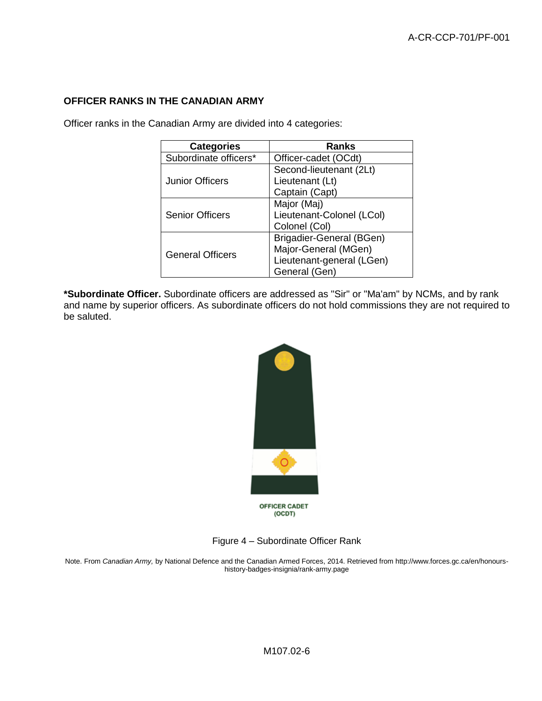### **OFFICER RANKS IN THE CANADIAN ARMY**

| <b>Categories</b>       | <b>Ranks</b>              |
|-------------------------|---------------------------|
| Subordinate officers*   | Officer-cadet (OCdt)      |
| <b>Junior Officers</b>  | Second-lieutenant (2Lt)   |
|                         | Lieutenant (Lt)           |
|                         | Captain (Capt)            |
| <b>Senior Officers</b>  | Major (Maj)               |
|                         | Lieutenant-Colonel (LCol) |
|                         | Colonel (Col)             |
| <b>General Officers</b> | Brigadier-General (BGen)  |
|                         | Major-General (MGen)      |
|                         | Lieutenant-general (LGen) |
|                         | General (Gen)             |

Officer ranks in the Canadian Army are divided into 4 categories:

**\*Subordinate Officer.** Subordinate officers are addressed as "Sir" or "Ma'am" by [NCMs,](http://en.wikipedia.org/wiki/Non-commissioned_members) and by rank and name by superior officers. As subordinate officers do not hold commissions they are not required to be saluted.



Figure 4 – Subordinate Officer Rank

Note. From *Canadian Army,* by National Defence and the Canadian Armed Forces, 2014. Retrieved from http://www.forces.gc.ca/en/honourshistory-badges-insignia/rank-army.page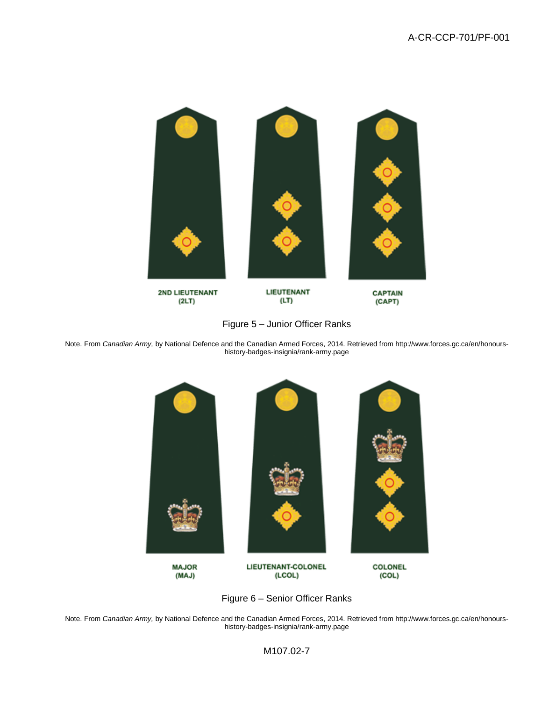

 $(2LT)$ 

(CAPT)

Figure 5 – Junior Officer Ranks

Note. From *Canadian Army,* by National Defence and the Canadian Armed Forces, 2014. Retrieved from http://www.forces.gc.ca/en/honourshistory-badges-insignia/rank-army.page





Note. From *Canadian Army,* by National Defence and the Canadian Armed Forces, 2014. Retrieved from http://www.forces.gc.ca/en/honourshistory-badges-insignia/rank-army.page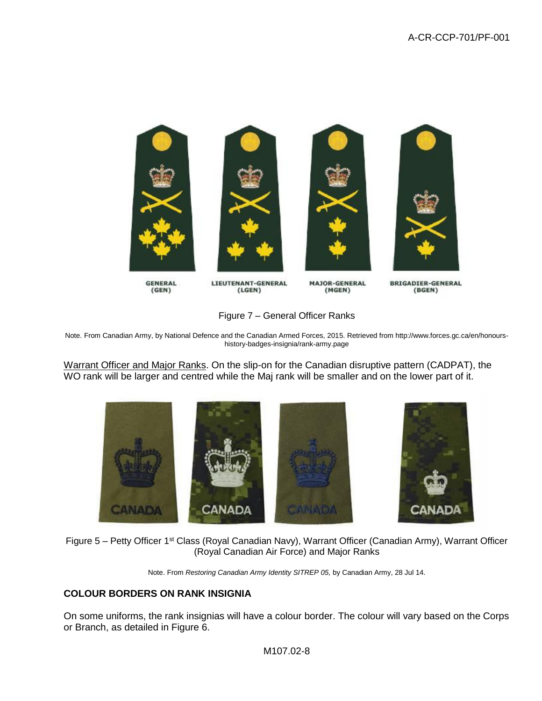

### Figure 7 – General Officer Ranks

Note. From Canadian Army, by National Defence and the Canadian Armed Forces, 2015. Retrieved from http://www.forces.gc.ca/en/honourshistory-badges-insignia/rank-army.page

Warrant Officer and Major Ranks. On the slip-on for the Canadian disruptive pattern (CADPAT), the WO rank will be larger and centred while the Maj rank will be smaller and on the lower part of it.



Figure 5 – Petty Officer 1<sup>st</sup> Class (Royal Canadian Navy), Warrant Officer (Canadian Army), Warrant Officer (Royal Canadian Air Force) and Major Ranks

Note. From *Restoring Canadian Army Identity SITREP 05,* by Canadian Army, 28 Jul 14.

### **COLOUR BORDERS ON RANK INSIGNIA**

On some uniforms, the rank insignias will have a colour border. The colour will vary based on the Corps or Branch, as detailed in Figure 6.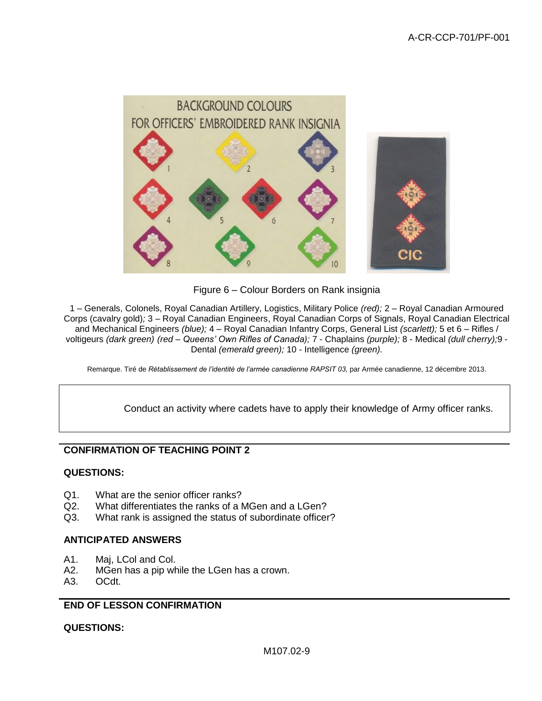

Figure 6 – Colour Borders on Rank insignia

1 – Generals, Colonels, Royal Canadian Artillery, Logistics, Military Police *(red);* 2 – Royal Canadian Armoured Corps (cavalry gold)*;* 3 – Royal Canadian Engineers, Royal Canadian Corps of Signals, Royal Canadian Electrical and Mechanical Engineers *(blue);* 4 – Royal Canadian Infantry Corps, General List *(scarlett);* 5 et 6 – Rifles / voltigeurs *(dark green))(red – Queens' Own Rifles of Canada);* 7 - Chaplains *(purple);* 8 - Medical *(dull cherry);*9 - Dental *(emerald green);* 10 - Intelligence *(green).*

Remarque. Tiré de *Rétablissement de l'identité de l'armée canadienne RAPSIT 03*, par Armée canadienne, 12 décembre 2013.

Conduct an activity where cadets have to apply their knowledge of Army officer ranks.

### **CONFIRMATION OF TEACHING POINT 2**

### **QUESTIONS:**

- Q1. What are the senior officer ranks?
- Q2. What differentiates the ranks of a MGen and a LGen?
- Q3. What rank is assigned the status of subordinate officer?

### **ANTICIPATED ANSWERS**

- A1. Maj, LCol and Col.
- A2. MGen has a pip while the LGen has a crown.
- A3. OCdt.

### **END OF LESSON CONFIRMATION**

### **QUESTIONS:**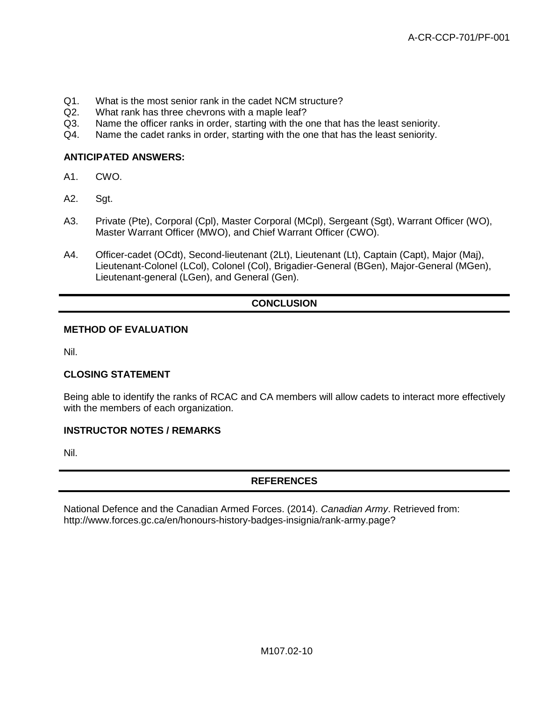- Q1. What is the most senior rank in the cadet NCM structure?
- Q2. What rank has three chevrons with a maple leaf?
- Q3. Name the officer ranks in order, starting with the one that has the least seniority.
- Q4. Name the cadet ranks in order, starting with the one that has the least seniority.

### **ANTICIPATED ANSWERS:**

- A1. CWO.
- A2. Sgt.
- A3. Private (Pte), Corporal (Cpl), Master Corporal (MCpl), Sergeant (Sgt), Warrant Officer (WO), Master Warrant Officer (MWO), and Chief Warrant Officer (CWO).
- A4. Officer-cadet (OCdt), Second-lieutenant (2Lt), Lieutenant (Lt), Captain (Capt), Major (Maj), Lieutenant-Colonel (LCol), Colonel (Col), Brigadier-General (BGen), Major-General (MGen), Lieutenant-general (LGen), and General (Gen).

### **CONCLUSION**

### **METHOD OF EVALUATION**

Nil.

### **CLOSING STATEMENT**

Being able to identify the ranks of RCAC and CA members will allow cadets to interact more effectively with the members of each organization.

### **INSTRUCTOR NOTES / REMARKS**

Nil.

### **REFERENCES**

National Defence and the Canadian Armed Forces. (2014). *Canadian Army*. Retrieved from: http://www.forces.gc.ca/en/honours-history-badges-insignia/rank-army.page?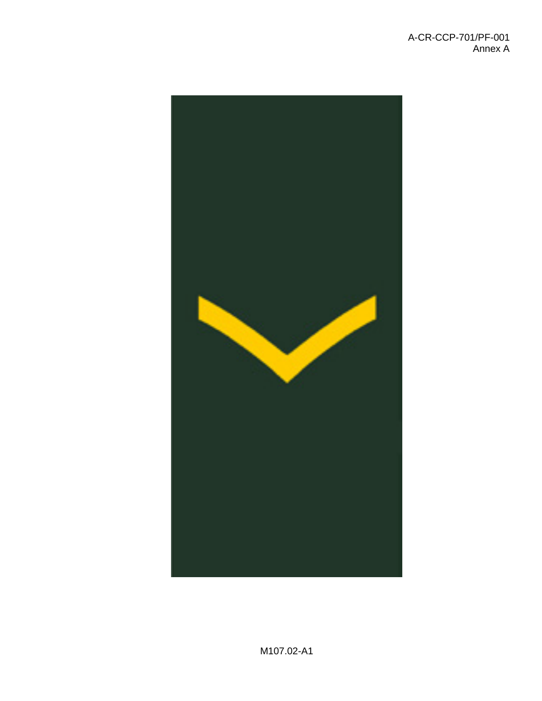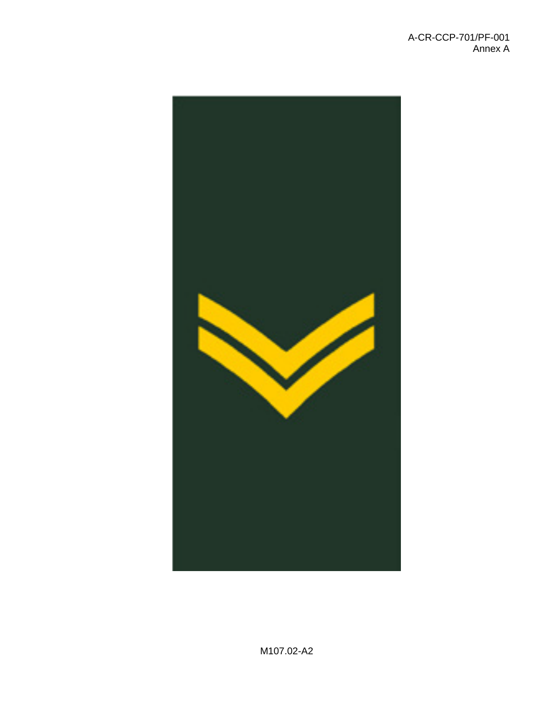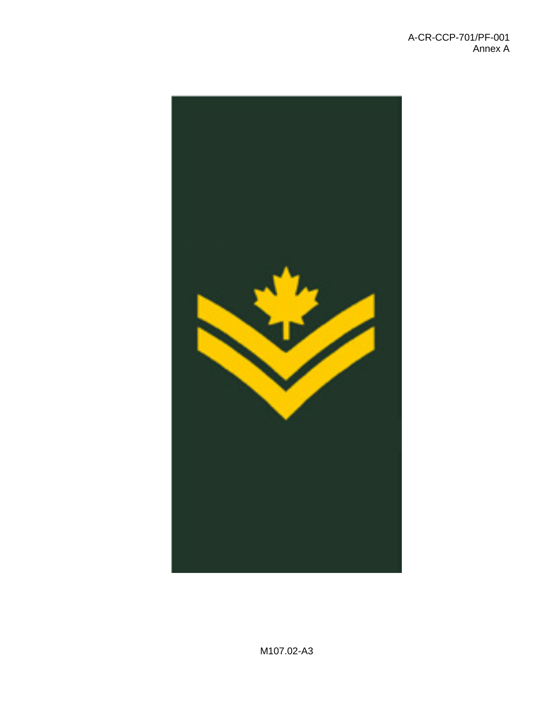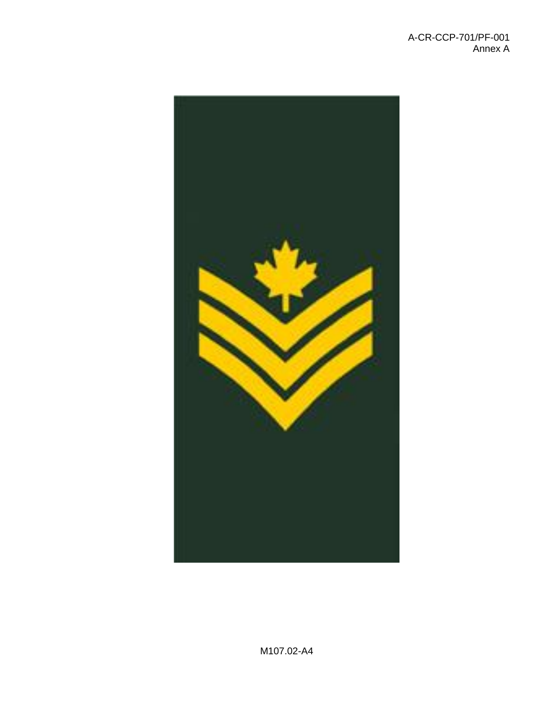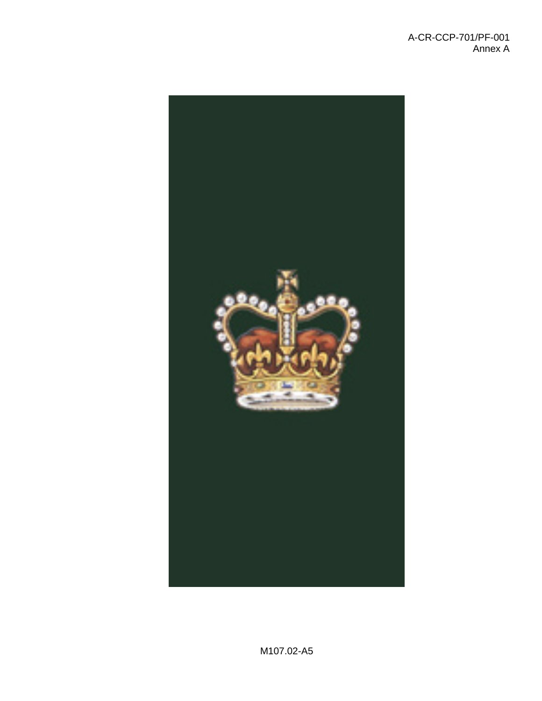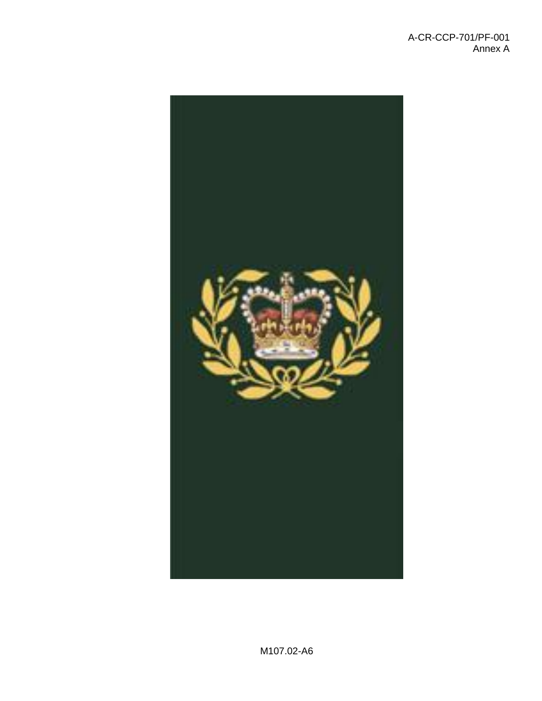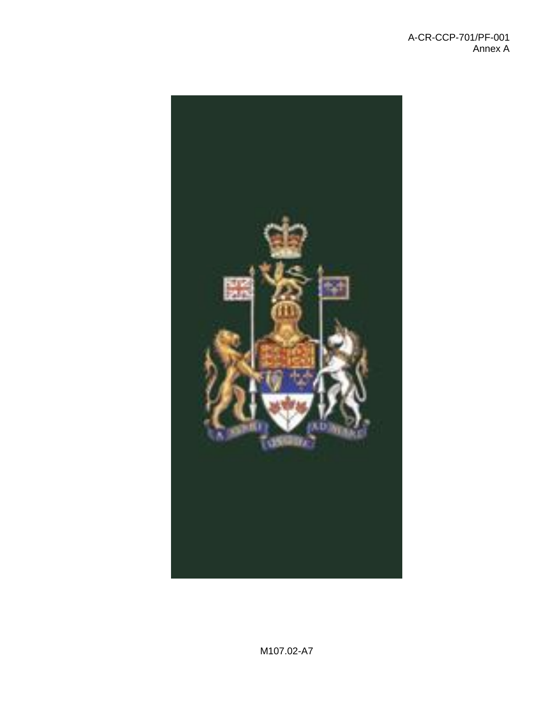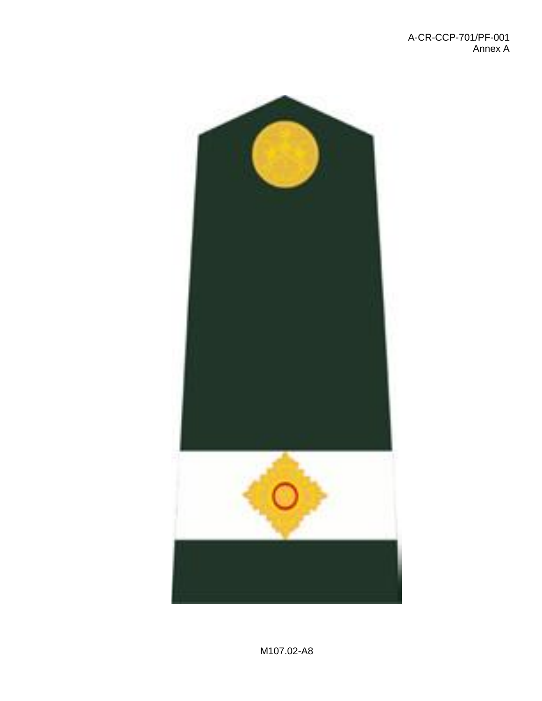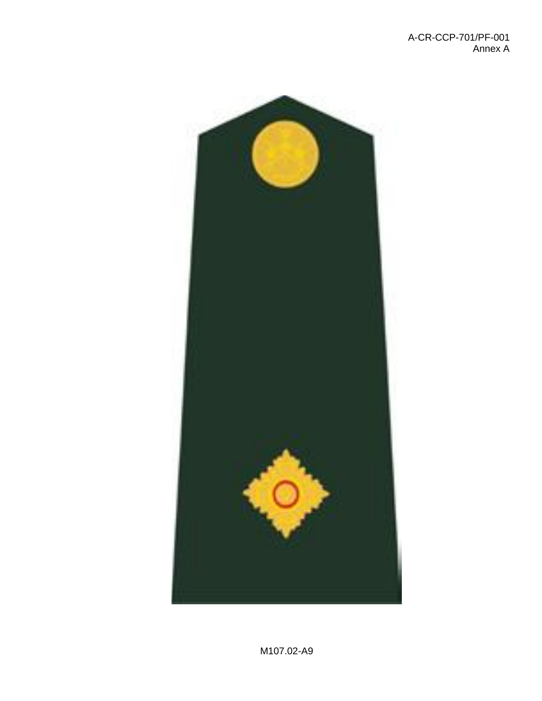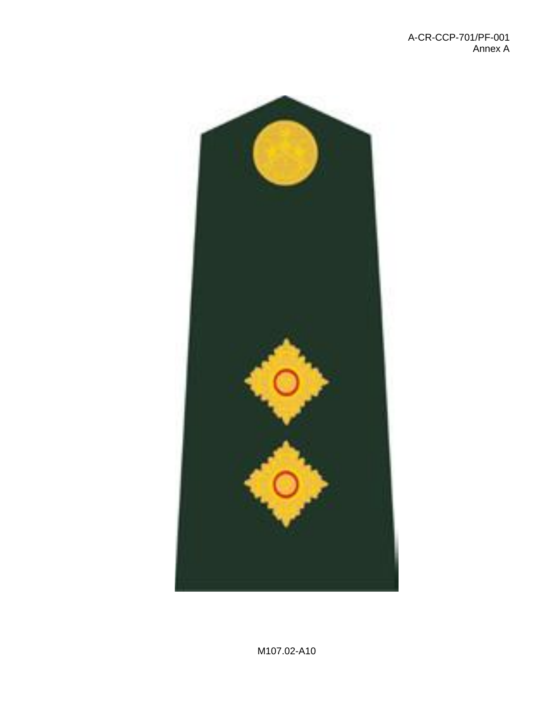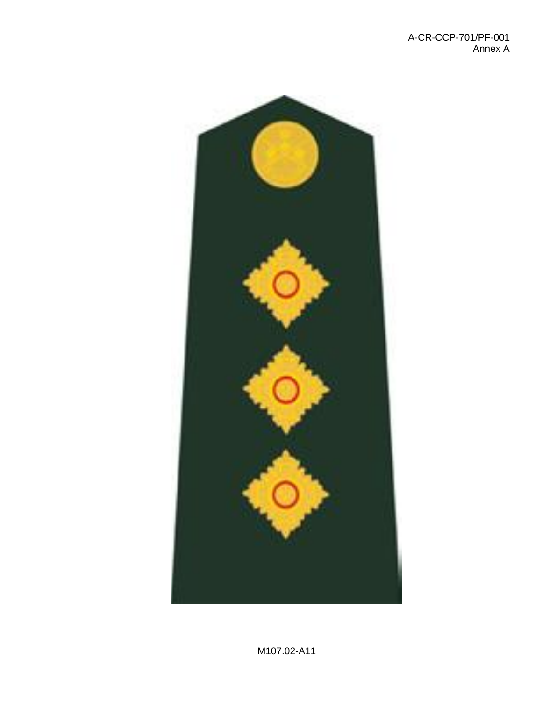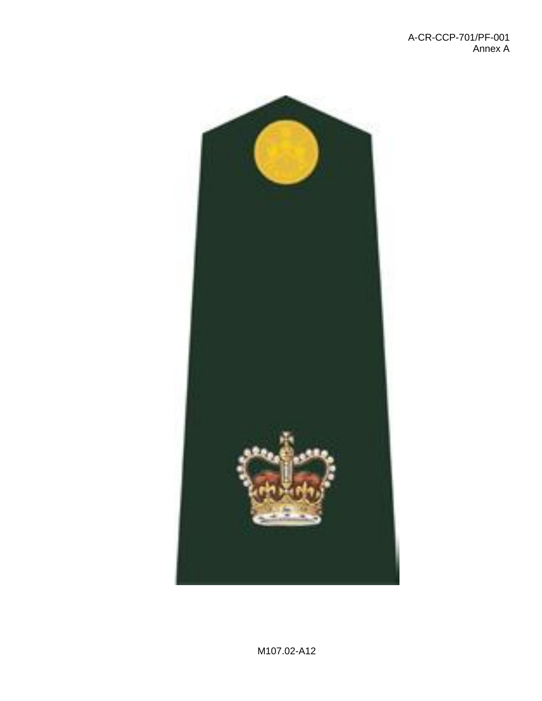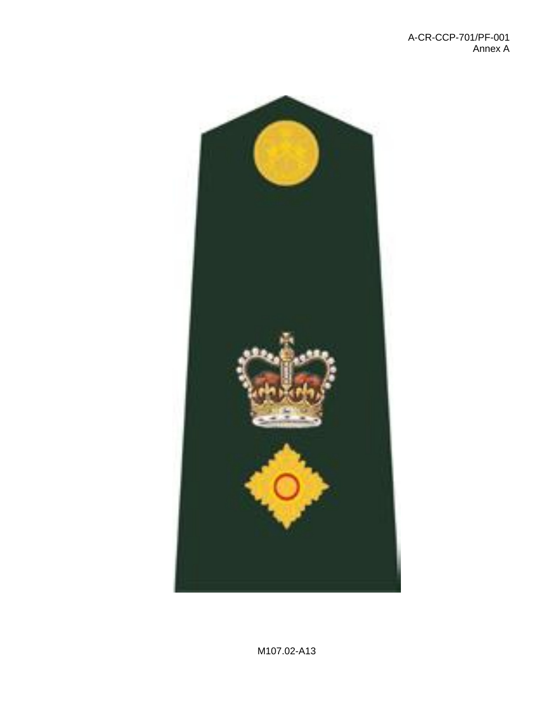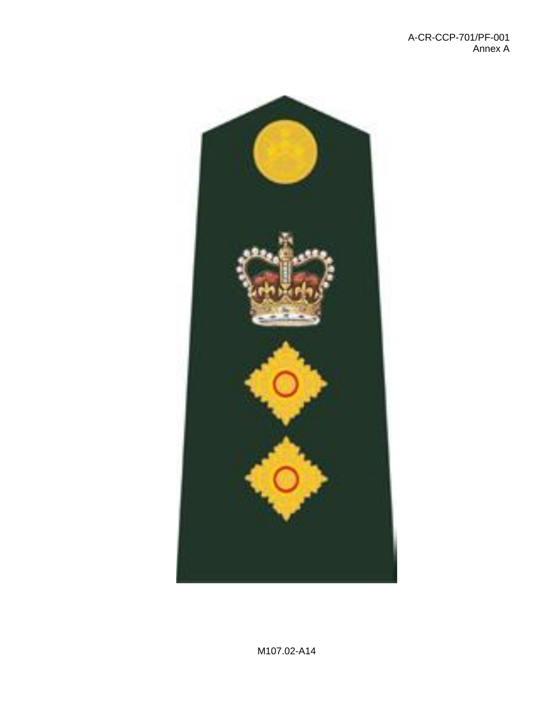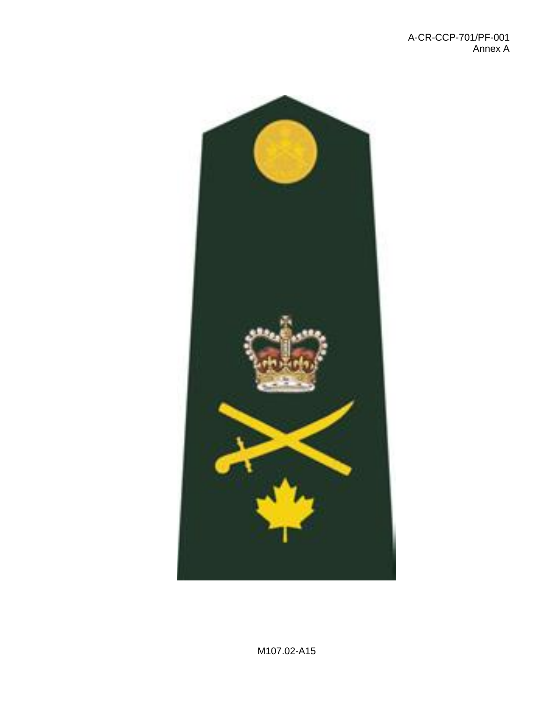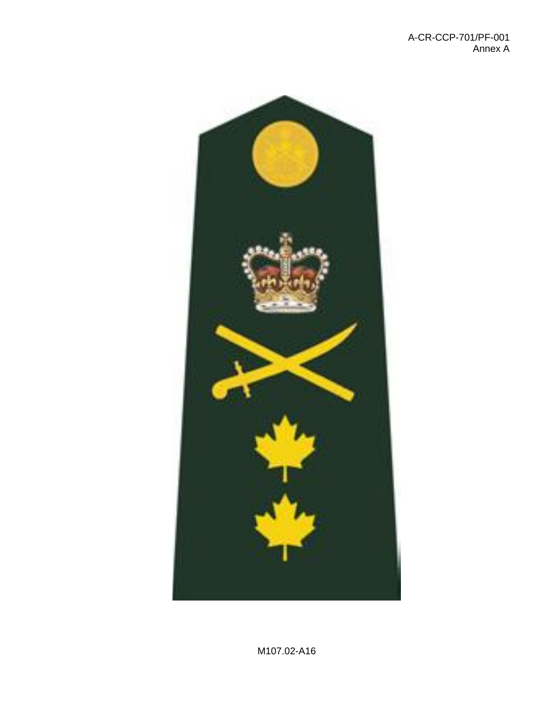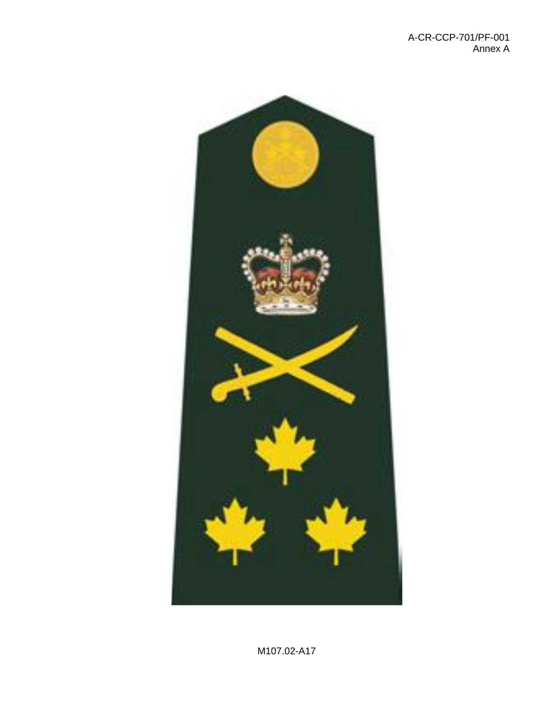